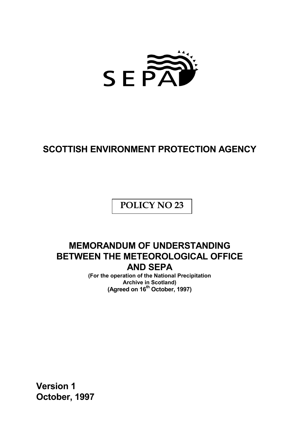

# **SCOTTISH ENVIRONMENT PROTECTION AGENCY**

**POLICY NO 23**

## **MEMORANDUM OF UNDERSTANDING BETWEEN THE METEOROLOGICAL OFFICE AND SEPA**

**(For the operation of the National Precipitation Archive in Scotland) (Agreed on 16th October, 1997)**

**Version 1 October, 1997**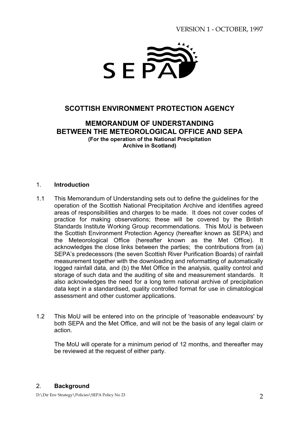## VERSION 1 - OCTOBER, 1997



## **SCOTTISH ENVIRONMENT PROTECTION AGENCY**

## **MEMORANDUM OF UNDERSTANDING BETWEEN THE METEOROLOGICAL OFFICE AND SEPA (For the operation of the National Precipitation Archive in Scotland)**

#### 1. **Introduction**

- 1.1 This Memorandum of Understanding sets out to define the guidelines for the operation of the Scottish National Precipitation Archive and identifies agreed areas of responsibilities and charges to be made. It does not cover codes of practice for making observations; these will be covered by the British Standards Institute Working Group recommendations. This MoU is between the Scottish Environment Protection Agency (hereafter known as SEPA) and the Meteorological Office (hereafter known as the Met Office). It acknowledges the close links between the parties; the contributions from (a) SEPAís predecessors (the seven Scottish River Purification Boards) of rainfall measurement together with the downloading and reformatting of automatically logged rainfall data, and (b) the Met Office in the analysis, quality control and storage of such data and the auditing of site and measurement standards. It also acknowledges the need for a long term national archive of precipitation data kept in a standardised, quality controlled format for use in climatological assessment and other customer applications.
- 1.2 This MoU will be entered into on the principle of 'reasonable endeavours' by both SEPA and the Met Office, and will not be the basis of any legal claim or action.

The MoU will operate for a minimum period of 12 months, and thereafter may be reviewed at the request of either party.

#### 2. **Background**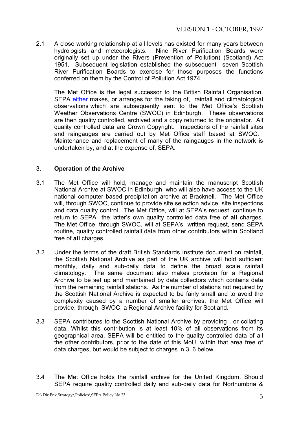2.1 A close working relationship at all levels has existed for many years between hydrologists and meteorologists. Nine River Purification Boards were originally set up under the Rivers (Prevention of Pollution) (Scotland) Act 1951. Subsequent legislation established the subsequent seven Scottish River Purification Boards to exercise for those purposes the functions conferred on them by the Control of Pollution Act 1974.

The Met Office is the legal successor to the British Rainfall Organisation. SEPA either makes, or arranges for the taking of, rainfall and climatological observations which are subsequently sent to the Met Office's Scottish Weather Observations Centre (SWOC) in Edinburgh. These observations are then quality controlled, archived and a copy returned to the originator. All quality controlled data are Crown Copyright. Inspections of the rainfall sites and raingauges are carried out by Met Office staff based at SWOC. Maintenance and replacement of many of the raingauges in the network is undertaken by, and at the expense of, SEPA.

### 3. **Operation of the Archive**

- 3.1 The Met Office will hold, manage and maintain the manuscript Scottish National Archive at SWOC in Edinburgh, who will also have access to the UK national computer based precipitation archive at Bracknell. The Met Office will, through SWOC, continue to provide site selection advice, site inspections and data quality control. The Met Office, will at SEPA's request, continue to return to SEPA the latterís own quality controlled data free of **all** charges. The Met Office, through SWOC, will at SEPA's written request, send SEPA routine, quality controlled rainfall data from other contributors within Scotland free of **all** charges.
- 3.2 Under the terms of the draft British Standards Institute document on rainfall, the Scottish National Archive as part of the UK archive will hold sufficient monthly, daily and sub-daily data to define the broad scale rainfall climatology. The same document also makes provision for a Regional Archive to be set up and maintained by data collectors which contains data from the remaining rainfall stations. As the number of stations not required by the Scottish National Archive is expected to be fairly small and to avoid the complexity caused by a number of smaller archives, the Met Office will provide, through SWOC, a Regional Archive facility for Scotland.
- 3.3 SEPA contributes to the Scottish National Archive by providing , or collating data. Whilst this contribution is at least 10% of all observations from its geographical area, SEPA will be entitled to the quality controlled data of all the other contributors, prior to the date of this MoU, within that area free of data charges, but would be subject to charges in 3. 6 below.
- 3.4 The Met Office holds the rainfall archive for the United Kingdom. Should SEPA require quality controlled daily and sub-daily data for Northumbria &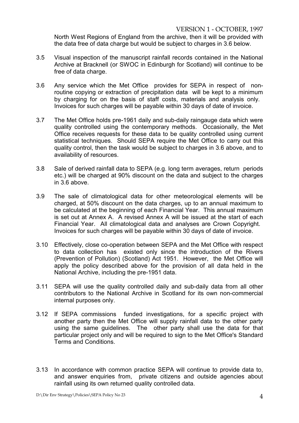VERSION 1 - OCTOBER, 1997

North West Regions of England from the archive, then it will be provided with the data free of data charge but would be subject to charges in 3.6 below.

- 3.5 Visual inspection of the manuscript rainfall records contained in the National Archive at Bracknell (or SWOC in Edinburgh for Scotland) will continue to be free of data charge.
- 3.6 Any service which the Met Office provides for SEPA in respect of nonroutine copying or extraction of precipitation data will be kept to a minimum by charging for on the basis of staff costs, materials and analysis only. Invoices for such charges will be payable within 30 days of date of invoice.
- 3.7 The Met Office holds pre-1961 daily and sub-daily raingauge data which were quality controlled using the contemporary methods. Occasionally, the Met Office receives requests for these data to be quality controlled using current statistical techniques. Should SEPA require the Met Office to carry out this quality control, then the task would be subject to charges in 3.6 above, and to availability of resources.
- 3.8 Sale of derived rainfall data to SEPA (e.g. long term averages, return periods etc.) will be charged at 90% discount on the data and subject to the charges in 3.6 above.
- 3.9 The sale of climatological data for other meteorological elements will be charged, at 50% discount on the data charges, up to an annual maximum to be calculated at the beginning of each Financial Year. This annual maximum is set out at Annex A. A revised Annex A will be issued at the start of each Financial Year. All climatological data and analyses are Crown Copyright. Invoices for such charges will be payable within 30 days of date of invoice.
- 3.10 Effectively, close co-operation between SEPA and the Met Office with respect to data collection has existed only since the introduction of the Rivers (Prevention of Pollution) (Scotland) Act 1951. However, the Met Office will apply the policy described above for the provision of all data held in the National Archive, including the pre-1951 data.
- 3.11 SEPA will use the quality controlled daily and sub-daily data from all other contributors to the National Archive in Scotland for its own non-commercial internal purposes only.
- 3.12 If SEPA commissions funded investigations, for a specific project with another party then the Met Office will supply rainfall data to the other party using the same guidelines. The other party shall use the data for that particular project only and will be required to sign to the Met Office's Standard Terms and Conditions.
- 3.13 In accordance with common practice SEPA will continue to provide data to, and answer enquiries from, private citizens and outside agencies about rainfall using its own returned quality controlled data.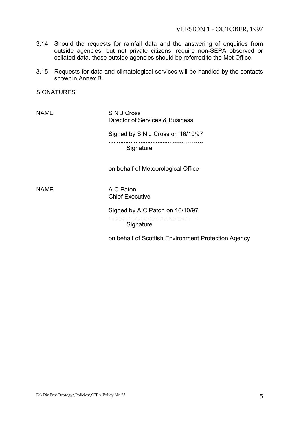- 3.14 Should the requests for rainfall data and the answering of enquiries from outside agencies, but not private citizens, require non-SEPA observed or collated data, those outside agencies should be referred to the Met Office.
- 3.15 Requests for data and climatological services will be handled by the contacts shownin Annex B.

**SIGNATURES** 

NAME S N J Cross Director of Services & Business

Signed by S N J Cross on 16/10/97

**.....................................ÖÖÖÖÖ.**

**Signature** 

on behalf of Meteorological Office

NAME A C Paton Chief Executive

> Signed by A C Paton on 16/10/97 **............................................ÖÖ.. Signature**

on behalf of Scottish Environment Protection Agency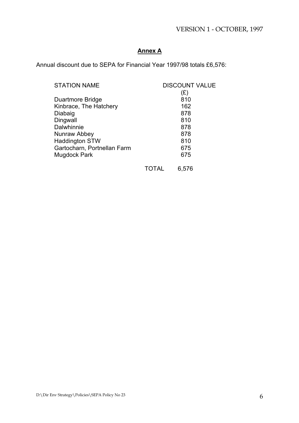## VERSION 1 - OCTOBER, 1997

## **Annex A**

Annual discount due to SEPA for Financial Year 1997/98 totals £6,576:

| <b>STATION NAME</b>         | <b>DISCOUNT VALUE</b> |       |
|-----------------------------|-----------------------|-------|
|                             |                       | (£)   |
| Duartmore Bridge            |                       | 810   |
| Kinbrace, The Hatchery      |                       | 162   |
| Diabaig                     |                       | 878   |
| Dingwall                    |                       | 810   |
| Dalwhinnie                  |                       | 878   |
| Nunraw Abbey                |                       | 878   |
| <b>Haddington STW</b>       |                       | 810   |
| Gartocharn, Portnellan Farm |                       | 675   |
| <b>Mugdock Park</b>         |                       | 675   |
|                             | TOTAL                 | 6,576 |